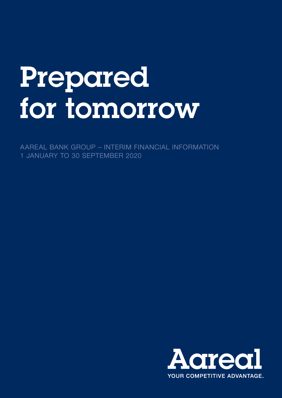# Prepared for tomorrow

AAREAL BANK GROUP – INTERIM FINANCIAL INFORMATION 1 JANUARY TO 30 SEPTEMBER 2020

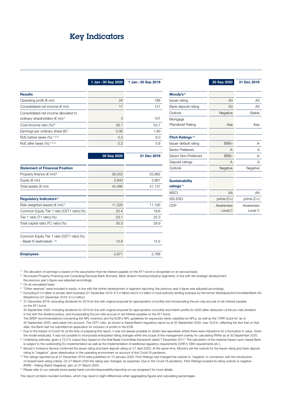## <span id="page-1-0"></span>Key Indicators

| <b>Results</b>                                                                          |      |      |
|-----------------------------------------------------------------------------------------|------|------|
| Operating profit ( $\epsilon$ mn)                                                       | 24   | 186  |
| Consolidated net income $(\epsilon$ mn)                                                 | 17   | 121  |
| Consolidated net income allocated to<br>ordinary shareholders ( $\in$ mn) <sup>1)</sup> | 3    | 107  |
| Cost/income ratio (%) <sup>2)</sup>                                                     | 56.1 | 53.7 |
| Earnings per ordinary share $(\epsilon)^{1}$                                            | 0.06 | 1.80 |
| RoE before taxes $(\%)$ <sup>1) 3) 4)</sup>                                             | 0.3  | 9.0  |
| RoE after taxes $(%)$ <sup>1) 3) 4)</sup>                                               | 0.2  | 5.8  |

1 Jan-30 Sep 2020 1 Jan-30 Sep 2019

|                                                | 30 Sep 2020 | 31 Dec 2019 |
|------------------------------------------------|-------------|-------------|
| <b>Statement of Financial Position</b>         |             |             |
| Property finance ( $\in$ mn) <sup>5)</sup>     | 26,053      | 25,882      |
| Equity ( $\notin$ mn)                          | 2,843       | 2,861       |
| Total assets ( $\notin$ mn)                    | 44,480      | 41,137      |
| Regulatory Indicators <sup>6)</sup>            |             |             |
| Risk-weighted assets ( $\in$ mn) <sup>7)</sup> | 11,320      | 11,195      |
| Common Equity Tier 1 ratio (CET1 ratio) (%)    | 20.4        | 19.6        |
| Tier 1 ratio (T1 ratio) (%)                    | 23.1        | 22.3        |
| Total capital ratio (TC ratio) (%)             | 30.3        | 29.9        |
| Common Equity Tier 1 ratio (CET1 ratio) (%)    |             |             |
| $-$ Basel IV (estimated) $-$ <sup>8)</sup>     | 13.9        | 13.5        |
| <b>Employees</b>                               | 2,971       | 2,788       |

|                                       | 30 Sep 2020          | 31 Dec 2019          |
|---------------------------------------|----------------------|----------------------|
| Moody's $9$                           |                      |                      |
| <b>Issuer rating</b>                  | A <sub>3</sub>       | A3                   |
| Bank deposit rating                   | A3                   | A <sub>3</sub>       |
| Outlook                               | Negative             | Stable               |
| Mortgage<br><b>Pfandbrief Rating</b>  | Ааа                  | Ааа                  |
| Fitch Ratings <sup>10)</sup>          |                      |                      |
| Issuer default rating                 | BBB+                 | A-                   |
| Senior Preferred                      | А-                   | Α                    |
| Senior Non-Preferred                  | BBB+                 | А-                   |
| Deposit ratings                       | $A -$                | А                    |
| Outlook                               | Negative             | Negative             |
| <b>Sustainability</b><br>ratings $11$ |                      |                      |
| <b>MSCI</b>                           | AA                   | AA                   |
| <b>ISS-ESG</b>                        | prime $(C+)$         | prime $(C+)$         |
| <b>CDP</b>                            | Awareness<br>Level C | Awareness<br>Level C |

1) The allocation of earnings is based on the assumption that net interest payable on the AT1 bond is recognised on an accrual basis.

<sup>2)</sup> Structured Property Financing and Consulting/Services Bank (formerly: Bank division Housing Industry) segments, in line with the strategic development; the previous year's figure was adjusted accordingly.

3) On an annualised basis

4) "Other reserves" were included in equity, in line with the further development of segment reporting; the previous year's figure was adjusted accordingly.

5) Excluding € 0.4 billion in private client business (31 December 2019: € 0.4 billion) and € 0.3 billion in local authority lending business by the former Westdeutsche ImmobilienBank AG (WestImmo) (31 December 2019: € 0.4 billion)

6) 31 December 2019: excluding dividends for 2019 (in line with original proposal for appropriation of profits) and incorporating the pro-rata accrual of net interest payable on the AT1 bond.

 30 September 2020: including dividends for 2019 (in line with original proposal for appropriation of profits) and interim profits for 2020 (after deduction of the pro-rata dividend in line with the dividend policy), and incorporating the pro-rata accrual of net interest payable on the AT1 bond.

 The SREP recommendations concerning the NPL inventory and the ECB's NPL guidelines for exposures newly classified as NPLs, as well as the "CRR Quick fix" as of 30 September 2020, were taken into account. The CET1 ratio, as shown in Aareal Bank's regulatory report as at 30 September 2020, was 19.8%, reflecting the fact that on that date, the Bank had not submitted an application for inclusion of profits to the ECB.

 $7$  Due to the impact of Covid-19, at the time of preparing this report, it was not always possible to obtain new appraisals where there were indications for a fluctuation in value. Given the model employed, it was not possible to incorporate anticipated rating changes within the scope of the management overlay for calculating RWAs as at 30 September 2020.

8) Underlying estimate, given a 72.5% output floor based on the final Basel Committee framework dated 7 December 2017. The calculation of the material impact upon Aareal Bank is subject to the outstanding EU implementation as well as the implementation of additional regulatory requirements (CRR II, EBA requirements etc.).

9) Moody's Investors Service confirmed the issuer rating and bank deposit rating on 21 April 2020. At the same time, Moody's set the outlook for the issuer rating and bank deposit rating to "negative", given deterioration in the operating environment on account of the Covid-19 pandemic.

<sup>10)</sup> The ratings reported as at 31 December 2019 were published on 10 January 2020. Fitch Ratings had changed the outlook to "negative" in connection with the introduction of revised bank rating criteria. On 27 March 2020 the rating was changed, as expected. Due to the Covid-19 pandemic, Fitch Ratings lowered its rating outlook to negative (RWN – Rating Watch Negative), also on 27 March 2020.

11) Please refer to our website (www.aareal-bank.com/en/responsibility/reporting-on-our-progress/) for more details.

This report contains rounded numbers, which may result in slight differences when aggregating figures and calculating percentages.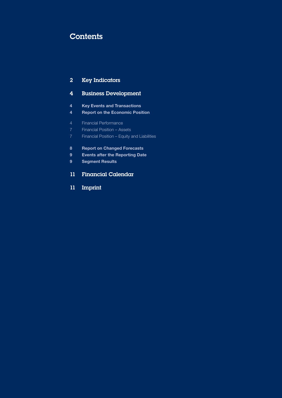# **Contents**

### [Key Indicators](#page-1-0)

## [Business Development](#page-3-0)

- [Key Events and Transactions](#page-3-0)
- [Report on the Economic Position](#page-3-0)
- [Financial Performance](#page-3-0)
- [Financial Position Assets](#page-6-0)
- [Financial Position Equity and Liabilities](#page-6-0)
- [Report on Changed Forecasts](#page-7-0)
- [Events after the Reporting Date](#page-8-0)
- [Segment Results](#page-8-0)
- [Financial Calendar](#page-10-0)
- [Imprint](#page-10-0)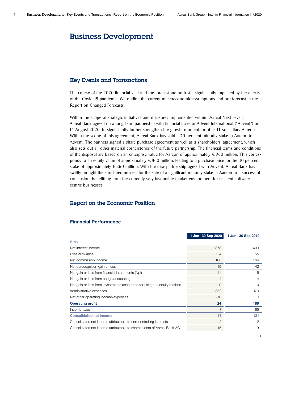## <span id="page-3-0"></span>Business Development

#### Key Events and Transactions

The course of the 2020 financial year and the forecast are both still significantly impacted by the effects of the Covid-19 pandemic. We outline the current macroeconomic assumptions and our forecast in the Report on Changed Forecasts.

Within the scope of strategic initiatives and measures implemented within "Aareal Next Level", Aareal Bank agreed on a long-term partnership with financial investor Advent International ("Advent") on 14 August 2020, to significantly further strengthen the growth momentum of its IT subsidiary Aareon. Within the scope of this agreement, Aareal Bank has sold a 30 per cent minority stake in Aareon to Advent. The partners signed a share purchase agreement as well as a shareholders' agreement, which also sets out all other material cornerstones of the future partnership. The financial terms and conditions of the disposal are based on an enterprise value for Aareon of approximately €960 million. This corresponds to an equity value of approximately  $\epsilon$  860 million, leading to a purchase price for the 30 per cent stake of approximately  $\epsilon$  260 million. With the new partnership agreed with Advent, Aareal Bank has swiftly brought the structured process for the sale of a significant minority stake in Aareon to a successful conclusion, benefitting from the currently very favourable market environment for resilient softwarecentric businesses.

#### Report on the Economic Position

#### 1 Jan-30 Sep 2020 1 Jan-30 Sep 2019 € mn Net interest income 373 403 Loss allowance **167 55** 55 Structure 167 Structure 167 Structure 167 Structure 167 Structure 167 Structure 167 Structure 167 Structure 167 Structure 167 Structure 167 Structure 167 Structure 167 Structure 167 Structure 167 Net commission income 168 164 Net derecognition gain or loss 19 and 19 and 19 and 19 and 19 and 19 and 19 and 19 and 19 and 19 and 19 and 19 and 19 and 19 and 19 and 19 and 19 and 19 and 19 and 19 and 19 and 19 and 19 and 19 and 19 and 19 and 19 and 19 Net gain or loss from financial instruments (fvpl)  $5\overline{5}$ Net gain or loss from hedge accounting the contract of the contract of the contract of the contract of the contract of the contract of the contract of the contract of the contract of the contract of the contract of the con Net gain or loss from investments accounted for using the equity method 0 0 Administrative expenses 370 Net other operating income/expenses and the state of the state of the state of the state of the state of the state of the state of the state of the state of the state of the state of the state of the state of the state of Operating profit that is a set of the contract of the contract of the contract of the contract of the contract of the contract of the contract of the contract of the contract of the contract of the contract of the contract Income taxes  $\overline{7}$  65 Consolidated net income 17 121 Consolidated net income attributable to non-controlling interests 2 2 Consolidated net income attributable to shareholders of Aareal Bank AG 15 119 119

#### Financial Performance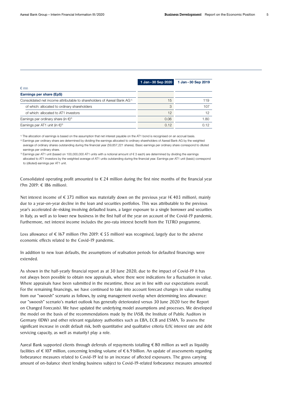|                                                                                     | 1 Jan - 30 Sep 2020 | 1 Jan-30 Sep 2019 |
|-------------------------------------------------------------------------------------|---------------------|-------------------|
| $\epsilon$ mn                                                                       |                     |                   |
| Earnings per share (EpS)                                                            |                     |                   |
| Consolidated net income attributable to shareholders of Aareal Bank AG <sup>1</sup> | 15                  | 119               |
| of which: allocated to ordinary shareholders                                        | 3                   | 107               |
| of which: allocated to AT1 investors                                                | 12                  | 12                |
| Earnings per ordinary share (in $\epsilon$ ) <sup>2)</sup>                          | 0.06                | 1.80              |
| Earnings per AT1 unit (in $\epsilon$ ) <sup>3)</sup>                                | 0.12                | 0.12              |

1) The allocation of earnings is based on the assumption that net interest payable on the AT1 bond is recognised on an accrual basis.

<sup>2)</sup> Earnings per ordinary share are determined by dividing the earnings allocated to ordinary shareholders of Aareal Bank AG by the weighted average of ordinary shares outstanding during the financial year (59,857,221 shares). Basic earnings per ordinary share correspond to diluted earnings per ordinary share.

3) Earnings per AT1 unit (based on 100,000,000 AT1 units with a notional amount of € 3 each) are determined by dividing the earnings allocated to AT1 investors by the weighted average of AT1 units outstanding during the financial year. Earnings per AT1 unit (basic) correspond to (diluted) earnings per AT1 unit.

Consolidated operating profit amounted to  $\epsilon$  24 million during the first nine months of the financial year (9m 2019: € 186 million).

Net interest income of  $\epsilon$  373 million was materially down on the previous year ( $\epsilon$  403 million), mainly due to a year-on-year decline in the loan and securities portfolios. This was attributable to the previous year's accelerated de-risking involving defaulted loans, a larger exposure to a single borrower and securities in Italy, as well as to lower new business in the first half of the year on account of the Covid-19 pandemic. Furthermore, net interest income includes the pro-rata interest benefit from the TLTRO programme.

Loss allowance of € 167 million (9m 2019: € 55 million) was recognised, largely due to the adverse economic effects related to the Covid-19 pandemic.

In addition to new loan defaults, the assumptions of realisation periods for defaulted financings were extended.

As shown in the half-yearly financial report as at 30 June 2020, due to the impact of Covid-19 it has not always been possible to obtain new appraisals, where there were indications for a fluctuation in value. Where appraisals have been submitted in the meantime, these are in line with our expectations overall. For the remaining financings, we have continued to take into account forecast changes in value resulting from our "swoosh" scenario as follows, by using management overlay when determining loss allowance: our "swoosh" scenario's market outlook has generally deteriorated versus 30 June 2020 (see the Report on Changed Forecasts). We have updated the underlying model assumptions and processes. We developed the model on the basis of the recommendations made by the IASB, the Institute of Public Auditors in Germany (IDW) and other relevant regulatory authorities such as EBA, ECB and ESMA. To assess the significant increase in credit default risk, both quantitative and qualitative criteria (LtV, interest rate and debt servicing capacity, as well as maturity) play a role.

Aareal Bank supported clients through deferrals of repayments totalling  $\epsilon$  80 million as well as liquidity facilities of  $\epsilon$  107 million, concerning lending volume of  $\epsilon$  6.9 billion. An update of assessments regarding forbearance measures related to Covid-19 led to an increase of affected exposures. The gross carrying amount of on-balance sheet lending business subject to Covid-19-related forbearance measures amounted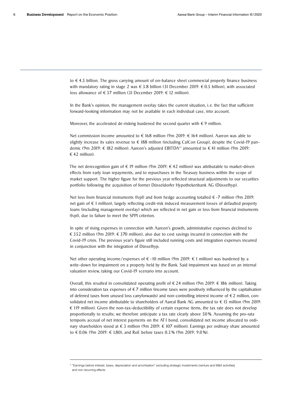to € 4.5 billion. The gross carrying amount of on-balance sheet commercial property finance business with mandatory rating in stage 2 was  $\epsilon$  3.8 billion (31 December 2019:  $\epsilon$  0.5 billion), with associated loss allowance of € 37 million (31 December 2019: € 12 million).

In the Bank's opinion, the management overlay takes the current situation, i.e. the fact that sufficient forward-looking information may not be available in each individual case, into account.

Moreover, the accelerated de-risking burdened the second quarter with  $\epsilon$  9 million.

Net commission income amounted to  $∈$  168 million (9m 2019:  $∈$  164 million). Aareon was able to slightly increase its sales revenue to € 188 million (including CalCon Group), despite the Covid-19 pandemic (9m 2019: € 182 million). Aareon's adjusted EBITDA<sup>1)</sup> amounted to €41 million (9m 2019:  $€ 42$  million).

The net derecognition gain of  $\epsilon$  19 million (9m 2019:  $\epsilon$  42 million) was attributable to market-driven effects from early loan repayments, and to repurchases in the Treasury business within the scope of market support. The higher figure for the previous year reflected structural adjustments to our securities portfolio following the acquisition of former Düsseldorfer Hypothekenbank AG (Düsselhyp).

Net loss from financial instruments (fvpl) and from hedge accounting totalled  $€$ -7 million (9m 2019: net gain of € 1 million), largely reflecting credit-risk induced measurement losses of defaulted property loans (including management overlay) which are reflected in net gain or loss from financial instruments (fvpl), due to failure to meet the SPPI criterion.

In spite of rising expenses in connection with Aareon's growth, administrative expenses declined to € 352 million (9m 2019: € 370 million), also due to cost savings incurred in connection with the Covid-19 crisis. The previous year's figure still included running costs and integration expenses incurred in conjunction with the integration of Düsselhyp.

Net other operating income/expenses of  $\epsilon$  -10 million (9m 2019:  $\epsilon$  1 million) was burdened by a write-down for impairment on a property held by the Bank. Said impairment was based on an internal valuation review, taking our Covid-19 scenario into account.

Overall, this resulted in consolidated operating profit of €24 million (9m 2019: € 186 million). Taking into consideration tax expenses of  $\epsilon \tau$  million (income taxes were positively influenced by the capitalisation of deferred taxes from unused loss carryforwards) and non-controlling interest income of  $\epsilon$ 2 million, consolidated net income attributable to shareholders of Aareal Bank AG amounted to €15 million (9m 2019:  $\epsilon$  119 million). Given the non-tax-deductibility of certain expense items, the tax rate does not develop proportionally to results; we therefore anticipate a tax rate clearly above 50 %. Assuming the pro-rata temporis accrual of net interest payments on the AT1 bond, consolidated net income allocated to ordinary shareholders stood at  $\epsilon$  3 million (9m 2019:  $\epsilon$  107 million). Earnings per ordinary share amounted to € 0.06 (9m 2019: € 1.80), and RoE before taxes 0.3 % (9m 2019: 9.0 %).

<sup>1)</sup> "Earnings before interest, taxes, depreciation and amortisation" excluding strategic investments (venture and M&A activities) and non-recurring effects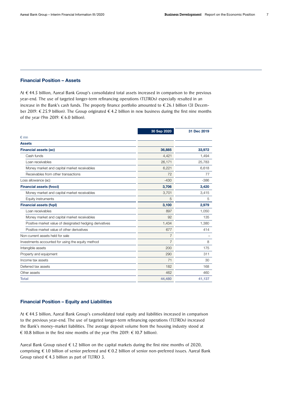#### <span id="page-6-0"></span>Financial Position – Assets

At € 44.5 billion, Aareal Bank Group's consolidated total assets increased in comparison to the previous year-end. The use of targeted longer-term refinancing operations (TLTROs) especially resulted in an increase in the Bank's cash funds. The property finance portfolio amounted to  $\epsilon$  26.1 billion (31 December 2019: € 25.9 billion). The Group originated €4.2 billion in new business during the first nine months of the year (9m 2019:  $\epsilon$  6.0 billion).

|                                                         | 30 Sep 2020    | 31 Dec 2019 |
|---------------------------------------------------------|----------------|-------------|
| $\n  Emn\n$                                             |                |             |
| <b>Assets</b>                                           |                |             |
| <b>Financial assets (ac)</b>                            | 36,885         | 33,972      |
| Cash funds                                              | 4,421          | 1,494       |
| Loan receivables                                        | 26,171         | 25,783      |
| Money market and capital market receivables             | 6,221          | 6,618       |
| Receivables from other transactions                     | 72             | 77          |
| Loss allowance (ac)                                     | $-430$         | $-386$      |
| <b>Financial assets (fvoci)</b>                         | 3,706          | 3,420       |
| Money market and capital market receivables             | 3,701          | 3,415       |
| Equity instruments                                      | 5              | 5           |
| <b>Financial assets (fvpl)</b>                          | 3,100          | 2,979       |
| Loan receivables                                        | 897            | 1,050       |
| Money market and capital market receivables             | 92             | 135         |
| Positive market value of designated hedging derivatives | 1,434          | 1,380       |
| Positive market value of other derivatives              | 677            | 414         |
| Non-current assets held for sale                        | $\overline{7}$ |             |
| Investments accounted for using the equity method       | $\overline{7}$ | 8           |
| Intangible assets                                       | 200            | 175         |
| Property and equipment                                  | 290            | 311         |
| Income tax assets                                       | 71             | 30          |
| Deferred tax assets                                     | 182            | 168         |
| Other assets                                            | 462            | 460         |
| <b>Total</b>                                            | 44,480         | 41,137      |

#### Financial Position – Equity and Liabilities

At € 44.5 billion, Aareal Bank Group's consolidated total equity and liabilities increased in comparison to the previous year-end. The use of targeted longer-term refinancing operations (TLTROs) increased the Bank's money-market liabilities. The average deposit volume from the housing industry stood at € 10.8 billion in the first nine months of the year (9m 2019:  $∈$  10.7 billion).

Aareal Bank Group raised  $\epsilon$  1.2 billion on the capital markets during the first nine months of 2020, comprising € 1.0 billion of senior preferred and € 0.2 billion of senior non-preferred issues. Aareal Bank Group raised  $\epsilon$  4.3 billion as part of TLTRO 3.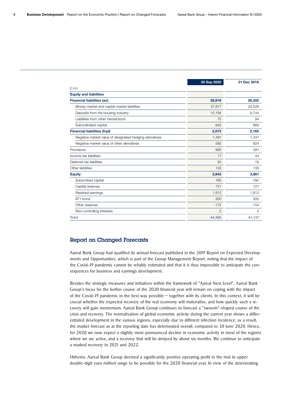<span id="page-7-0"></span>

|                                                         | 30 Sep 2020    | 31 Dec 2019 |
|---------------------------------------------------------|----------------|-------------|
| $\n  Emn\n$                                             |                |             |
| <b>Equity and liabilities</b>                           |                |             |
| <b>Financial liabilities (ac)</b>                       | 38,819         | 35,332      |
| Money market and capital market liabilities             | 27,617         | 24,526      |
| Deposits from the housing industry                      | 10,184         | 9,744       |
| Liabilities from other transactions                     | 75             | 94          |
| Subordinated capital                                    | 943            | 968         |
| <b>Financial liabilities (fvpl)</b>                     | 2,073          | 2,165       |
| Negative market value of designated hedging derivatives | 1,481          | 1,341       |
| Negative market value of other derivatives              | 592            | 824         |
| Provisions                                              | 565            | 581         |
| Income tax liabilities                                  | 17             | 44          |
| Deferred tax liabilities                                | 30             | 19          |
| Other liabilities                                       | 133            | 135         |
| <b>Equity</b>                                           | 2,843          | 2,861       |
| Subscribed capital                                      | 180            | 180         |
| Capital reserves                                        | 721            | 721         |
| Retained earnings                                       | 1,812          | 1,812       |
| AT1 bond                                                | 300            | 300         |
| Other reserves                                          | $-172$         | $-154$      |
| Non-controlling interests                               | $\overline{2}$ | 2           |
| <b>Total</b>                                            | 44,480         | 41,137      |

#### Report on Changed Forecasts

Aareal Bank Group had qualified its annual forecast published in the 2019 Report on Expected Developments and Opportunities, which is part of the Group Management Report, noting that the impact of the Covid-19 pandemic cannot be reliably estimated and that it is thus impossible to anticipate the consequences for business and earnings development.

Besides the strategic measures and initiatives within the framework of "Aareal Next Level", Aareal Bank Group's focus for the further course of the 2020 financial year will remain on coping with the impact of the Covid-19 pandemic in the best way possible – together with its clients. In this context, it will be crucial whether the expected recovery of the real economy will materialise, and how quickly such a recovery will gain momentum. Aareal Bank Group continues to forecast a "swoosh"-shaped course of the crisis and recovery. The normalisation of global economic activity during the current year shows a differentiated development in the various regions, especially due to different infection incidence; as a result, the market forecast as at the reporting date has deteriorated overall, compared to 30 June 2020. Hence, for 2020 we now expect a slightly more pronounced decline in economic activity in most of the regions where we are active, and a recovery that will be delayed by about six months. We continue to anticipate a marked recovery in 2021 and 2022.

Hitherto, Aareal Bank Group deemed a significantly positive operating profit in the mid to upper double-digit euro million range to be possible for the 2020 financial year. In view of the deteriorating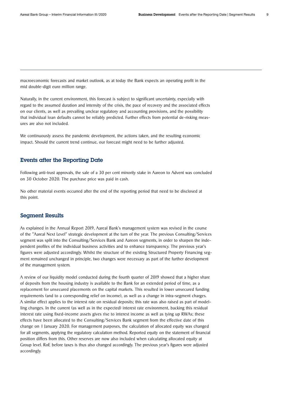<span id="page-8-0"></span>macroeconomic forecasts and market outlook, as at today the Bank expects an operating profit in the mid double-digit euro million range.

Naturally, in the current environment, this forecast is subject to significant uncertainty, especially with regard to the assumed duration and intensity of the crisis, the pace of recovery and the associated effects on our clients, as well as prevailing unclear regulatory and accounting provisions, and the possibility that individual loan defaults cannot be reliably predicted. Further effects from potential de-risking measures are also not included.

We continuously assess the pandemic development, the actions taken, and the resulting economic impact. Should the current trend continue, our forecast might need to be further adjusted.

#### Events after the Reporting Date

Following anti-trust approvals, the sale of a 30 per cent minority stake in Aareon to Advent was concluded on 30 October 2020. The purchase price was paid in cash.

No other material events occurred after the end of the reporting period that need to be disclosed at this point.

#### Segment Results

As explained in the Annual Report 2019, Aareal Bank's management system was revised in the course of the "Aareal Next Level" strategic development at the turn of the year. The previous Consulting/Services segment was split into the Consulting/Services Bank and Aareon segments, in order to sharpen the independent profiles of the individual business activities and to enhance transparency. The previous year's figures were adjusted accordingly. Whilst the structure of the existing Structured Property Financing segment remained unchanged in principle, two changes were necessary as part of the further development of the management system.

A review of our liquidity model conducted during the fourth quarter of 2019 showed that a higher share of deposits from the housing industry is available to the Bank for an extended period of time, as a replacement for unsecured placements on the capital markets. This resulted in lower unsecured funding requirements (and to a corresponding relief on income), as well as a change in intra-segment charges. A similar effect applies to the interest rate on residual deposits; this rate was also raised as part of modelling changes. In the current (as well as in the expected) interest rate environment, backing this residual interest rate using fixed-income assets gives rise to interest income as well as tying up RWAs; these effects have been allocated to the Consulting/Services Bank segment from the effective date of this change on 1 January 2020. For management purposes, the calculation of allocated equity was changed for all segments, applying the regulatory calculation method. Reported equity on the statement of financial position differs from this. Other reserves are now also included when calculating allocated equity at Group level. RoE before taxes is thus also changed accordingly. The previous year's figures were adjusted accordingly.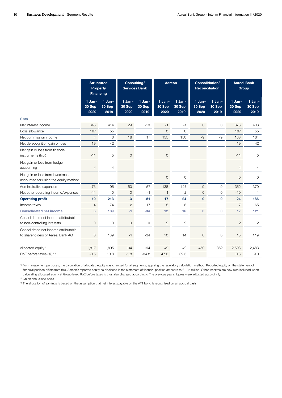|                                                                            | <b>Structured</b><br><b>Property</b><br><b>Financing</b> |                            | Consulting/<br><b>Services Bank</b> |                            | Aareon                     |                            | Consolidation/<br><b>Reconciliation</b> |                            |                            | <b>Aareal Bank</b><br>Group |
|----------------------------------------------------------------------------|----------------------------------------------------------|----------------------------|-------------------------------------|----------------------------|----------------------------|----------------------------|-----------------------------------------|----------------------------|----------------------------|-----------------------------|
|                                                                            | $1$ Jan-<br>30 Sep<br>2020                               | $1$ Jan-<br>30 Sep<br>2019 | $1$ Jan-<br>30 Sep<br>2020          | $1$ Jan-<br>30 Sep<br>2019 | $1$ Jan-<br>30 Sep<br>2020 | $1$ Jan-<br>30 Sep<br>2019 | $1$ Jan-<br>30 Sep<br>2020              | $1$ Jan-<br>30 Sep<br>2019 | $1$ Jan-<br>30 Sep<br>2020 | $1$ Jan-<br>30 Sep<br>2019  |
| $\notin$ mn                                                                |                                                          |                            |                                     |                            |                            |                            |                                         |                            |                            |                             |
| Net interest income                                                        | 345                                                      | 414                        | 29                                  | $-10$                      | $-1$                       | $-1$                       | $\mathbf 0$                             | 0                          | 373                        | 403                         |
| Loss allowance                                                             | 167                                                      | 55                         |                                     |                            | $\overline{0}$             | $\overline{0}$             |                                         |                            | 167                        | 55                          |
| Net commission income                                                      | $\overline{4}$                                           | 6                          | 18                                  | 17                         | 155                        | 150                        | $-9$                                    | $-9$                       | 168                        | 164                         |
| Net derecognition gain or loss                                             | 19                                                       | 42                         |                                     |                            |                            |                            |                                         |                            | 19                         | 42                          |
| Net gain or loss from financial<br>instruments (fvpl)                      | $-11$                                                    | 5                          | $\mathsf{O}\xspace$                 |                            | $\mathbf 0$                |                            |                                         |                            | $-11$                      | 5                           |
| Net gain or loss from hedge<br>accounting                                  | $\overline{4}$                                           | $-4$                       |                                     |                            |                            |                            |                                         |                            | $\overline{4}$             | $-4$                        |
| Net gain or loss from investments<br>accounted for using the equity method |                                                          |                            |                                     |                            | $\mathbf{O}$               | $\mathbf 0$                |                                         |                            | 0                          | $\circ$                     |
| Administrative expenses                                                    | 173                                                      | 195                        | 50                                  | 57                         | 138                        | 127                        | $-9$                                    | $-9$                       | 352                        | 370                         |
| Net other operating income/expenses                                        | $-11$                                                    | $\Omega$                   | $\mathbf{O}$                        | $-1$                       | $\mathbf{1}$               | $\mathbf{2}$               | $\mathbf{O}$                            | $\circ$                    | $-10$                      | $\mathbf{1}$                |
| <b>Operating profit</b>                                                    | 10                                                       | 213                        | $-3$                                | $-51$                      | 17                         | 24                         | $\mathbf{0}$                            | $\mathbf 0$                | 24                         | 186                         |
| Income taxes                                                               | 4                                                        | 74                         | $-2$                                | $-17$                      | 5                          | 8                          |                                         |                            | $\overline{7}$             | 65                          |
| <b>Consolidated net income</b>                                             | 6                                                        | 139                        | $-1$                                | $-34$                      | 12                         | 16                         | $\mathbf{0}$                            | $\pmb{0}$                  | 17                         | 121                         |
| Consolidated net income attributable<br>to non-controlling interests       | $\mathbf 0$                                              | 0                          | $\mathbf 0$                         | $\mathbf 0$                | $\mathbf{2}$               | $\mathbf{2}$               |                                         |                            | $\mathbf{2}$               | $\overline{2}$              |
| Consolidated net income attributable<br>to shareholders of Aareal Bank AG  | 6                                                        | 139                        | $-1$                                | $-34$                      | 10                         | 14                         | $\mathbf{O}$                            | $\circ$                    | 15                         | 119                         |
|                                                                            |                                                          |                            |                                     |                            |                            |                            |                                         |                            |                            |                             |
| Allocated equity <sup>1)</sup>                                             | 1,817                                                    | 1,895                      | 194                                 | 194                        | 42                         | 42                         | 450                                     | 352                        | 2,503                      | 2,483                       |
| RoE before taxes (%) <sup>2)3)</sup>                                       | $-0.5$                                                   | 13.8                       | $-1.8$                              | $-34.8$                    | 47.0                       | 69.5                       |                                         |                            | 0.3                        | 9.0                         |

1) For management purposes, the calculation of allocated equity was changed for all segments, applying the regulatory calculation method. Reported equity on the statement of financial position differs from this. Aareon's reported equity as disclosed in the statement of financial position amounts to € 195 million. Other reserves are now also included when calculating allocated equity at Group level. RoE before taxes is thus also changed accordingly. The previous year's figures were adjusted accordingly.

2) On an annualised basis

<sup>3)</sup> The allocation of earnings is based on the assumption that net interest payable on the AT1 bond is recognised on an accrual basis.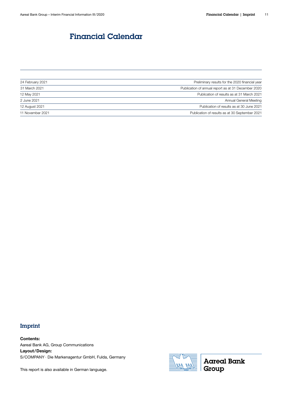# <span id="page-10-0"></span>Financial Calendar Financial Calendar

| 24 February 2021 | Preliminary results for the 2020 financial year     |
|------------------|-----------------------------------------------------|
| 31 March 2021    | Publication of annual report as at 31 December 2020 |
| 12 May 2021      | Publication of results as at 31 March 2021          |
| 2 June 2021      | Annual General Meeting                              |
| 12 August 2021   | Publication of results as at 30 June 2021           |
| 11 November 2021 | Publication of results as at 30 September 2021      |

## Imprint

Contents: Aareal Bank AG, Group Communications Layout/Design: S/COMPANY · Die Markenagentur GmbH, Fulda, Germany

This report is also available in German language.



**Aareal Bank** Group